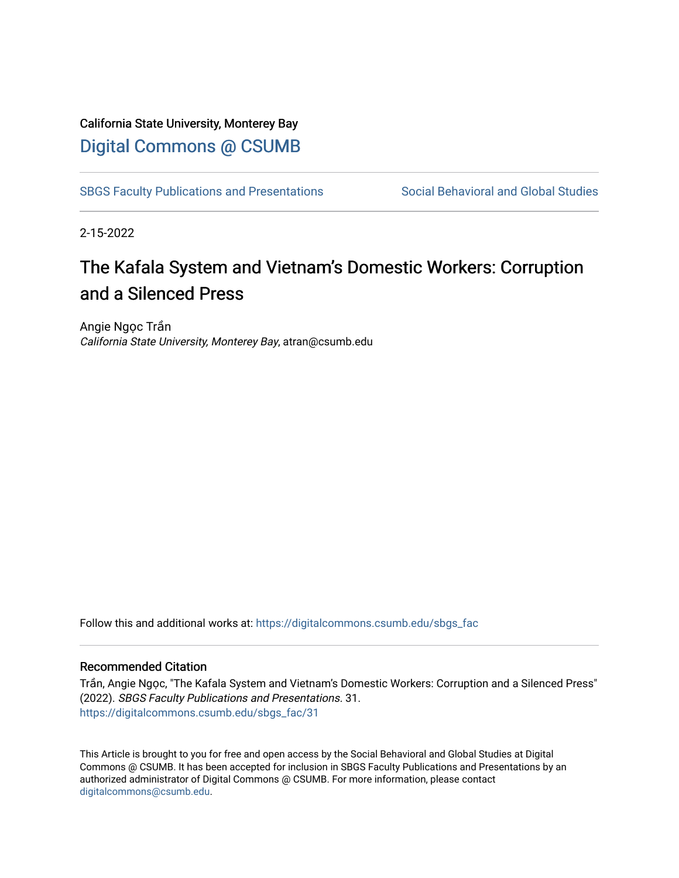## California State University, Monterey Bay [Digital Commons @ CSUMB](https://digitalcommons.csumb.edu/)

[SBGS Faculty Publications and Presentations](https://digitalcommons.csumb.edu/sbgs_fac) Social Behavioral and Global Studies

2-15-2022

## The Kafala System and Vietnam's Domestic Workers: Corruption and a Silenced Press

Angie Ngọc Trần California State University, Monterey Bay, atran@csumb.edu

Follow this and additional works at: [https://digitalcommons.csumb.edu/sbgs\\_fac](https://digitalcommons.csumb.edu/sbgs_fac?utm_source=digitalcommons.csumb.edu%2Fsbgs_fac%2F31&utm_medium=PDF&utm_campaign=PDFCoverPages) 

## Recommended Citation

Trần, Angie Ngọc, "The Kafala System and Vietnam's Domestic Workers: Corruption and a Silenced Press" (2022). SBGS Faculty Publications and Presentations. 31. [https://digitalcommons.csumb.edu/sbgs\\_fac/31](https://digitalcommons.csumb.edu/sbgs_fac/31?utm_source=digitalcommons.csumb.edu%2Fsbgs_fac%2F31&utm_medium=PDF&utm_campaign=PDFCoverPages) 

This Article is brought to you for free and open access by the Social Behavioral and Global Studies at Digital Commons @ CSUMB. It has been accepted for inclusion in SBGS Faculty Publications and Presentations by an authorized administrator of Digital Commons @ CSUMB. For more information, please contact [digitalcommons@csumb.edu](mailto:digitalcommons@csumb.edu).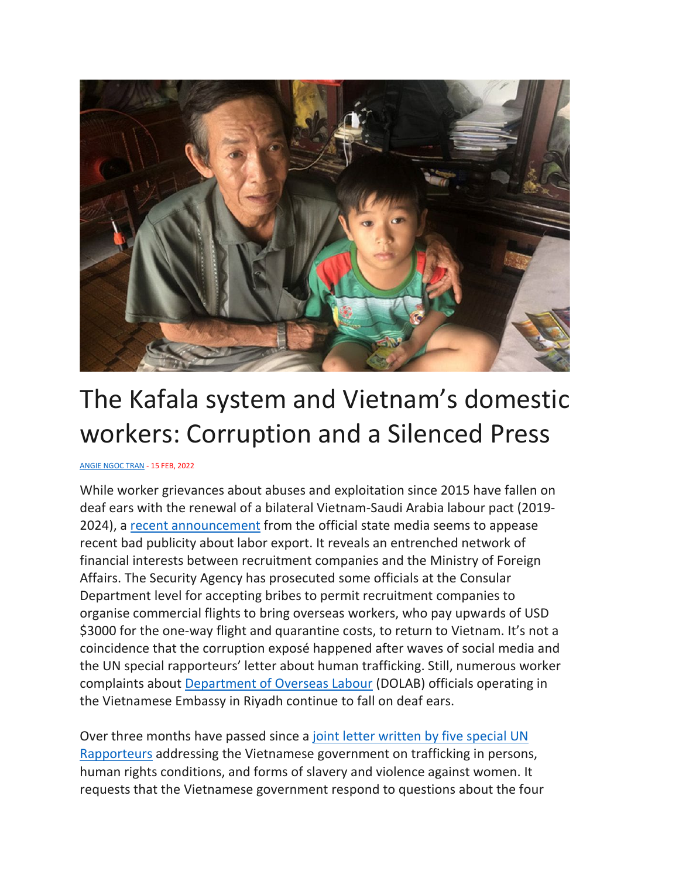

## The Kafala system and Vietnam's domestic workers: Corruption and a Silenced Press

[ANGIE NGOC TRAN](https://www.newmandala.org/author/angie-ngoc-tran/) - 15 FEB, 2022

While worker grievances about abuses and exploitation since 2015 have fallen on deaf ears with the renewal of a bilateral Vietnam-Saudi Arabia labour pact (2019- 2024), a [recent announcement](https://vtc.vn/khoi-to-cuc-truong-va-pho-cuc-truong-bo-ngoai-giao-toi-nhan-hoi-lo-ar659369.html) from the official state media seems to appease recent bad publicity about labor export. It reveals an entrenched network of financial interests between recruitment companies and the Ministry of Foreign Affairs. The Security Agency has prosecuted some officials at the Consular Department level for accepting bribes to permit recruitment companies to organise commercial flights to bring overseas workers, who pay upwards of USD \$3000 for the one-way flight and quarantine costs, to return to Vietnam. It's not a coincidence that the corruption exposé happened after waves of social media and the UN special rapporteurs' letter about human trafficking. Still, numerous worker complaints about [Department of Overseas Labour](https://vnembassy-riyadh.mofa.gov.vn/vi-vn/embassy/EmbassyStaffs/Trang/default.aspx) (DOLAB) officials operating in the Vietnamese Embassy in Riyadh continue to fall on deaf ears.

Over three months have passed since a [joint letter written by five special UN](https://spcommreports.ohchr.org/TMResultsBase/DownLoadPublicCommunicationFile?gId=26748) [Rapporteurs](https://spcommreports.ohchr.org/TMResultsBase/DownLoadPublicCommunicationFile?gId=26748) addressing the Vietnamese government on trafficking in persons, human rights conditions, and forms of slavery and violence against women. It requests that the Vietnamese government respond to questions about the four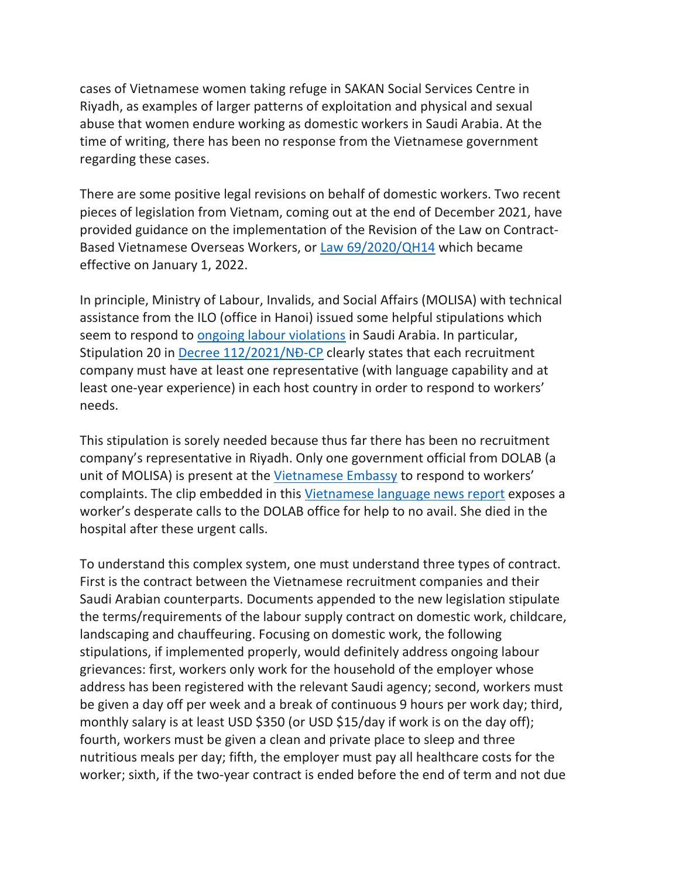cases of Vietnamese women taking refuge in SAKAN Social Services Centre in Riyadh, as examples of larger patterns of exploitation and physical and sexual abuse that women endure working as domestic workers in Saudi Arabia. At the time of writing, there has been no response from the Vietnamese government regarding these cases.

There are some positive legal revisions on behalf of domestic workers. Two recent pieces of legislation from Vietnam, coming out at the end of December 2021, have provided guidance on the implementation of the Revision of the Law on Contract-Based Vietnamese Overseas Workers, or [Law 69/2020/QH14](https://vanbanphapluat.co/law-69-2020-qh14-vietnamese-guest-workers) which became effective on January 1, 2022.

In principle, Ministry of Labour, Invalids, and Social Affairs (MOLISA) with technical assistance from the ILO (office in Hanoi) issued some helpful stipulations which seem to respond to [ongoing labour violations](https://www.newmandala.org/modern-day-slavery-vietnamese-women-domestic-workers-in-saudi-arabia/) in Saudi Arabia. In particular, Stipulation 20 in [Decree 112/2021/NĐ](https://thuvienphapluat.vn/van-ban/Lao-dong-Tien-luong/Nghi-dinh-112-2021-ND-CP-huong-dan-Luat-Nguoi-lao-dong-di-lam-viec-o-nuoc-ngoai-482323.aspx)-CP clearly states that each recruitment company must have at least one representative (with language capability and at least one-year experience) in each host country in order to respond to workers' needs.

This stipulation is sorely needed because thus far there has been no recruitment company's representative in Riyadh. Only one government official from DOLAB (a unit of MOLISA) is present at the [Vietnamese Embassy](https://vnembassy-riyadh.mofa.gov.vn/vi-vn/embassy/EmbassyStaffs/Trang/default.aspx) to respond to workers' complaints. The clip embedded in this [Vietnamese language news report](https://www.voatiengviet.com/a/thieu-nu-nguoi-viet-17-tuoi-chet-sau-hai-nam-lao-dong-o-a-rap-xe-ut/6254569.html) exposes a worker's desperate calls to the DOLAB office for help to no avail. She died in the hospital after these urgent calls.

To understand this complex system, one must understand three types of contract. First is the contract between the Vietnamese recruitment companies and their Saudi Arabian counterparts. Documents appended to the new legislation stipulate the terms/requirements of the labour supply contract on domestic work, childcare, landscaping and chauffeuring. Focusing on domestic work, the following stipulations, if implemented properly, would definitely address ongoing labour grievances: first, workers only work for the household of the employer whose address has been registered with the relevant Saudi agency; second, workers must be given a day off per week and a break of continuous 9 hours per work day; third, monthly salary is at least USD \$350 (or USD \$15/day if work is on the day off); fourth, workers must be given a clean and private place to sleep and three nutritious meals per day; fifth, the employer must pay all healthcare costs for the worker; sixth, if the two-year contract is ended before the end of term and not due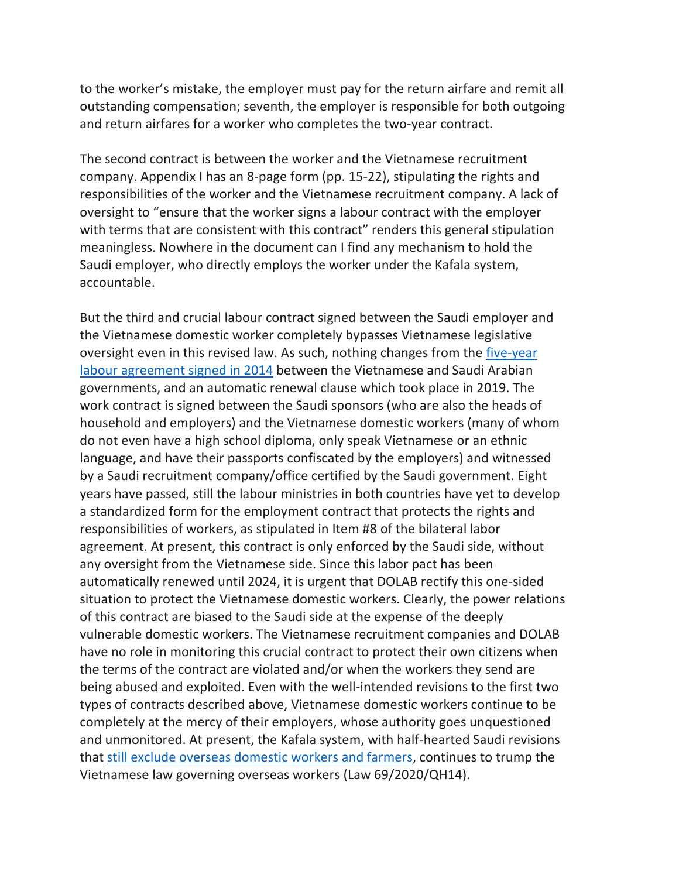to the worker's mistake, the employer must pay for the return airfare and remit all outstanding compensation; seventh, the employer is responsible for both outgoing and return airfares for a worker who completes the two-year contract.

The second contract is between the worker and the Vietnamese recruitment company. Appendix I has an 8-page form (pp. 15-22), stipulating the rights and responsibilities of the worker and the Vietnamese recruitment company. A lack of oversight to "ensure that the worker signs a labour contract with the employer with terms that are consistent with this contract" renders this general stipulation meaningless. Nowhere in the document can I find any mechanism to hold the Saudi employer, who directly employs the worker under the Kafala system, accountable.

But the third and crucial labour contract signed between the Saudi employer and the Vietnamese domestic worker completely bypasses Vietnamese legislative oversight even in this revised law. As such, nothing changes from the *five-year* [labour agreement signed in 2014](https://tinlaodongxuatkhau.com/giup-viec-gia-dinh-rap-xe-ut-thoa-thuan-giua-bo-ldtbxh-viet-nam-va-bo-lao-dong-rap-xe-ut-ve-viec-dua-lao-dong-giup-viec-gia-dinh-tai-rap-xe-ut/) between the Vietnamese and Saudi Arabian governments, and an automatic renewal clause which took place in 2019. The work contract is signed between the Saudi sponsors (who are also the heads of household and employers) and the Vietnamese domestic workers (many of whom do not even have a high school diploma, only speak Vietnamese or an ethnic language, and have their passports confiscated by the employers) and witnessed by a Saudi recruitment company/office certified by the Saudi government. Eight years have passed, still the labour ministries in both countries have yet to develop a standardized form for the employment contract that protects the rights and responsibilities of workers, as stipulated in Item #8 of the bilateral labor agreement. At present, this contract is only enforced by the Saudi side, without any oversight from the Vietnamese side. Since this labor pact has been automatically renewed until 2024, it is urgent that DOLAB rectify this one-sided situation to protect the Vietnamese domestic workers. Clearly, the power relations of this contract are biased to the Saudi side at the expense of the deeply vulnerable domestic workers. The Vietnamese recruitment companies and DOLAB have no role in monitoring this crucial contract to protect their own citizens when the terms of the contract are violated and/or when the workers they send are being abused and exploited. Even with the well-intended revisions to the first two types of contracts described above, Vietnamese domestic workers continue to be completely at the mercy of their employers, whose authority goes unquestioned and unmonitored. At present, the Kafala system, with half-hearted Saudi revisions that [still exclude overseas domestic workers and farmers,](https://www.hrw.org/news/2021/03/25/saudi-arabia-labor-reforms-insufficient) continues to trump the Vietnamese law governing overseas workers (Law 69/2020/QH14).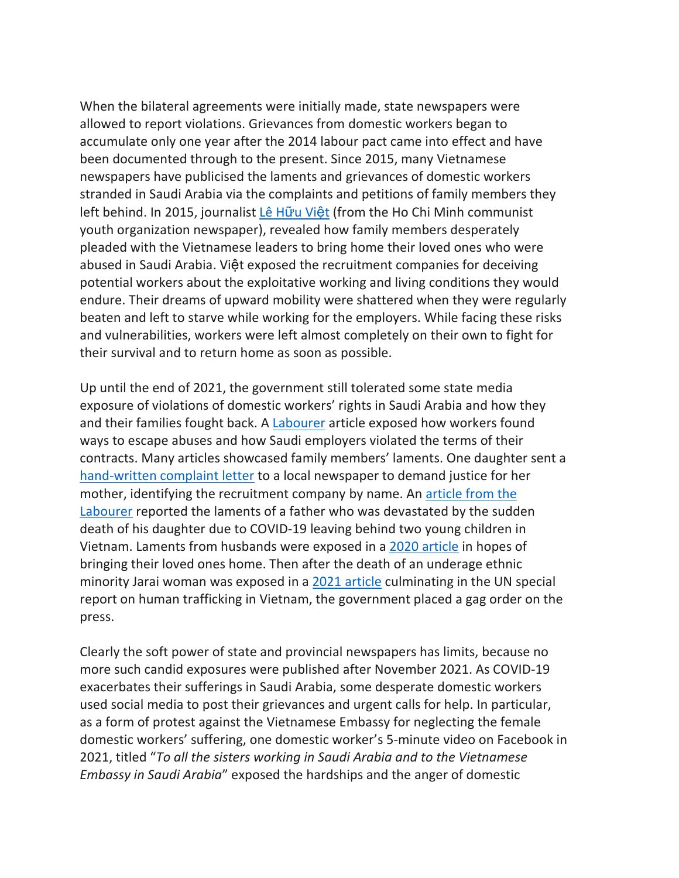When the bilateral agreements were initially made, state newspapers were allowed to report violations. Grievances from domestic workers began to accumulate only one year after the 2014 labour pact came into effect and have been documented through to the present. Since 2015, many Vietnamese newspapers have publicised the laments and grievances of domestic workers stranded in Saudi Arabia via the complaints and petitions of family members they left behind. In 2015, journalist [Lê H](https://tienphong.vn/giup-viec-tai-a-rap-xe-ut-nhieu-lao-dong-khan-cau-giai-cuu-post826849.tpo)ữu Việt (from the Ho Chi Minh communist youth organization newspaper), revealed how family members desperately pleaded with the Vietnamese leaders to bring home their loved ones who were abused in Saudi Arabia. Việt exposed the recruitment companies for deceiving potential workers about the exploitative working and living conditions they would endure. Their dreams of upward mobility were shattered when they were regularly beaten and left to starve while working for the employers. While facing these risks and vulnerabilities, workers were left almost completely on their own to fight for their survival and to return home as soon as possible.

Up until the end of 2021, the government still tolerated some state media exposure of violations of domestic workers' rights in Saudi Arabia and how they and their families fought back. A [Labourer](https://nld.com.vn/cong-doan/lao-dong-giup-viec-nha-o-a-rap-saudi-gian-nan-duong-ve-20180406221308153.htm) article exposed how workers found ways to escape abuses and how Saudi employers violated the terms of their contracts. Many articles showcased family members' laments. One daughter sent a [hand-written complaint letter](https://thuonghieucongluan.com.vn/cong-ty-vinh-cat-co-mang-con-bo-cho-a46468.html) to a local newspaper to demand justice for her mother, identifying the recruitment company by name. An [article from the](https://nld.com.vn/ban-doc/xot-xa-gia-canh-nu-lao-dong-tu-vong-noi-xu-nguoi-vi-covid-19-20201227111344391.htm) [Labourer](https://nld.com.vn/ban-doc/xot-xa-gia-canh-nu-lao-dong-tu-vong-noi-xu-nguoi-vi-covid-19-20201227111344391.htm) reported the laments of a father who was devastated by the sudden death of his daughter due to COVID-19 leaving behind two young children in Vietnam. Laments from husbands were exposed in a [2020 article](https://baodantoc.vn/nguoi-lao-dong-viet-o-a-rap-xe-ut-cau-cuu-1599235432326.htm) in hopes of bringing their loved ones home. Then after the death of an underage ethnic minority Jarai woman was exposed in a [2021 article](https://baophunuthudo.vn/article/99224/177/vu-nu-giup-viec-viet-nam-tu-vong-o-a-rap-xe-ut-can-dam-bao-quyen-loi-ich-hop-phap-cua-cong-dan-viet-nam/) culminating in the UN special report on human trafficking in Vietnam, the government placed a gag order on the press.

Clearly the soft power of state and provincial newspapers has limits, because no more such candid exposures were published after November 2021. As COVID-19 exacerbates their sufferings in Saudi Arabia, some desperate domestic workers used social media to post their grievances and urgent calls for help. In particular, as a form of protest against the Vietnamese Embassy for neglecting the female domestic workers' suffering, one domestic worker's 5-minute video on Facebook in 2021, titled "*To all the sisters working in Saudi Arabia and to the Vietnamese Embassy in Saudi Arabia*" exposed the hardships and the anger of domestic